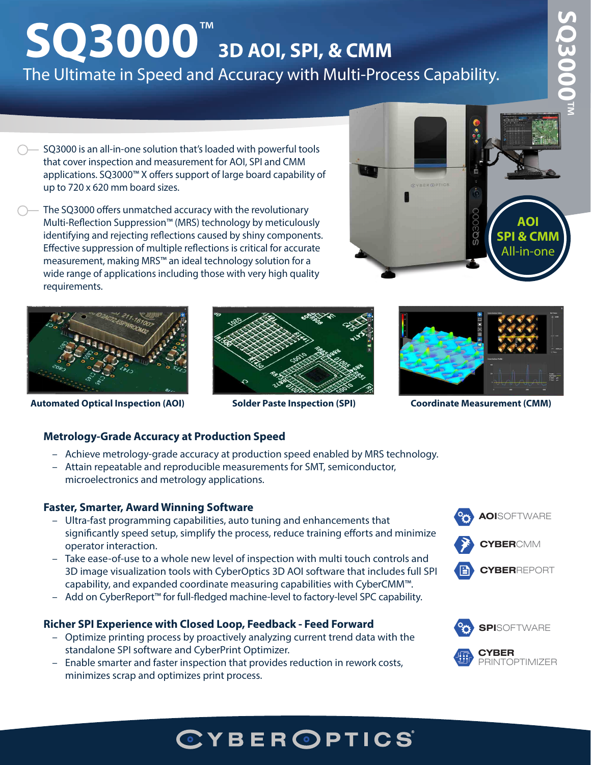# **SQ3000**™ **3D AOI, SPI, & CMM** The Ultimate in Speed and Accuracy with Multi-Process Capability.

- SQ3000 is an all-in-one solution that's loaded with powerful tools that cover inspection and measurement for AOI, SPI and CMM applications. SQ3000™ X offers support of large board capability of up to 720 x 620 mm board sizes.
- The SQ3000 offers unmatched accuracy with the revolutionary Multi-Reflection Suppression™ (MRS) technology by meticulously identifying and rejecting reflections caused by shiny components. Effective suppression of multiple reflections is critical for accurate measurement, making MRS™ an ideal technology solution for a wide range of applications including those with very high quality requirements.





**Automated Optical Inspection (AOI) Solder Paste Inspection (SPI)** 





**Coordinate Measurement (CMM)** 

#### **Metrology-Grade Accuracy at Production Speed**

- Achieve metrology-grade accuracy at production speed enabled by MRS technology.
- Attain repeatable and reproducible measurements for SMT, semiconductor, microelectronics and metrology applications.

#### **Faster, Smarter, Award Winning Software**

- significantly speed setup, simplify the process, reduce training efforts and minimize **Ster, Sinal ter, Award Willing Software**<br>– Ultra-fast programming capabilities, auto tuning and enhancements that operator interaction.
- capability, and expanded coordinate measuring capabilities with CyberCMM™. - Take ease-of-use to a whole new level of inspection with multi touch controls and 3D image visualization tools with CyberOptics 3D AOI software that includes full SPI
- Add on CyberReport™ for full-fledged machine-level to factory-level SPC capability.

#### **CYBER**REPORT **Richer SPI Experience with Closed Loop, Feedback - Feed Forward**

- <sup>+</sup> - Optimize printing process by proactively analyzing current trend data with the standalone SPI software and CyberPrint Optimizer.
- Enable smarter and faster inspection that provides reduction in rework costs, minimizes scrap and optimizes print process.





**CYBERCOM** 

## CYBER OPTICS